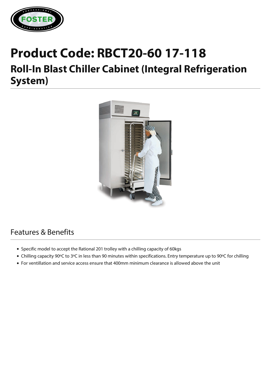

## **Product Code: RBCT20-60 17-118**

## **Roll-In Blast Chiller Cabinet (Integral Refrigeration System)**



## Features & Benefits

- Specific model to accept the Rational 201 trolley with a chilling capacity of 60kgs
- Chilling capacity 90ºC to 3ºC in less than 90 minutes within specifications. Entry temperature up to 90ºC for chilling
- For ventillation and service access ensure that 400mm minimum clearance is allowed above the unit